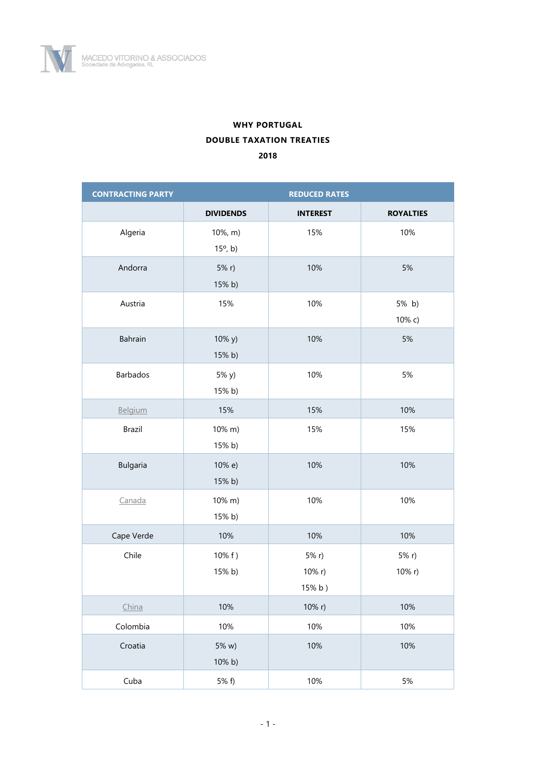

## **WHY PORTUGAL DOUBLE TAXATION TREATIES 2018**

| <b>CONTRACTING PARTY</b> | <b>REDUCED RATES</b>         |                           |                  |
|--------------------------|------------------------------|---------------------------|------------------|
|                          | <b>DIVIDENDS</b>             | <b>INTEREST</b>           | <b>ROYALTIES</b> |
| Algeria                  | 10%, m)<br>$15^{\circ}$ , b) | 15%                       | 10%              |
| Andorra                  | 5% r<br>15% b)               | 10%                       | 5%               |
| Austria                  | 15%                          | 10%                       | 5% b)<br>10% с)  |
| Bahrain                  | 10% y)<br>15% b)             | 10%                       | 5%               |
| Barbados                 | 5% y)<br>15% b)              | 10%                       | 5%               |
| Belgium                  | 15%                          | 15%                       | 10%              |
| <b>Brazil</b>            | 10% m)<br>15% b)             | 15%                       | 15%              |
| <b>Bulgaria</b>          | 10% e)<br>15% b)             | 10%                       | 10%              |
| Canada                   | 10% m)<br>15% b)             | 10%                       | 10%              |
| Cape Verde               | 10%                          | 10%                       | 10%              |
| Chile                    | 10% f)<br>15% b)             | 5% r)<br>10% r)<br>15% b) | 5% r)<br>10% r)  |
| China                    | 10%                          | 10% r)                    | 10%              |
| Colombia                 | 10%                          | 10%                       | 10%              |
| Croatia                  | 5% w)<br>10% b)              | 10%                       | 10%              |
| Cuba                     | 5% f)                        | 10%                       | 5%               |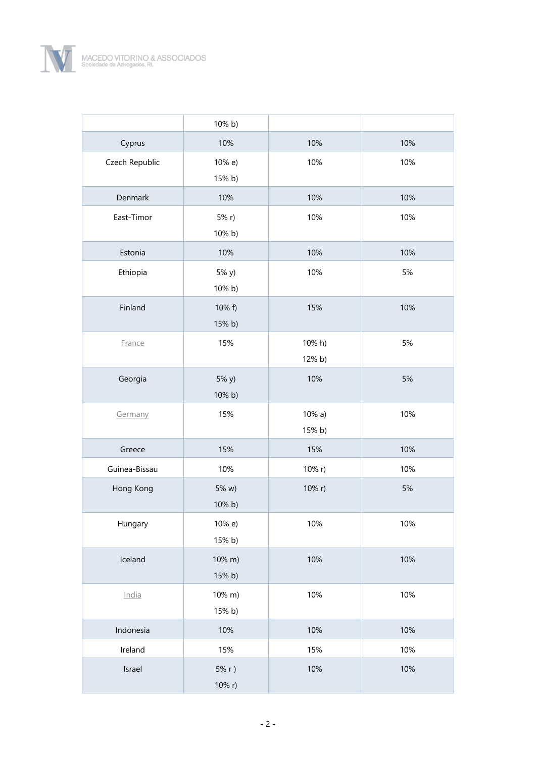

|                | 10% b)           |                     |     |
|----------------|------------------|---------------------|-----|
| Cyprus         | 10%              | 10%                 | 10% |
| Czech Republic | 10% e)<br>15% b) | 10%                 | 10% |
| Denmark        | 10%              | 10%                 | 10% |
| East-Timor     | 5% r<br>10% b)   | 10%                 | 10% |
| Estonia        | 10%              | 10%                 | 10% |
| Ethiopia       | 5% y)<br>10% b)  | 10%                 | 5%  |
| Finland        | 10% f)<br>15% b) | 15%                 | 10% |
| France         | 15%              | 10% h)<br>12% b)    | 5%  |
| Georgia        | 5% y)<br>10% b)  | 10%                 | 5%  |
| Germany        | 15%              | $10\% a)$<br>15% b) | 10% |
| Greece         | 15%              | 15%                 | 10% |
| Guinea-Bissau  | 10%              | 10% r)              | 10% |
| Hong Kong      | 5% w)<br>10% b)  | 10% r)              | 5%  |
| Hungary        | 10% e)<br>15% b) | 10%                 | 10% |
| Iceland        | 10% m)<br>15% b) | 10%                 | 10% |
| India          | 10% m)<br>15% b) | 10%                 | 10% |
| Indonesia      | 10%              | 10%                 | 10% |
| Ireland        | 15%              | 15%                 | 10% |
| Israel         | 5% r)<br>10% r)  | 10%                 | 10% |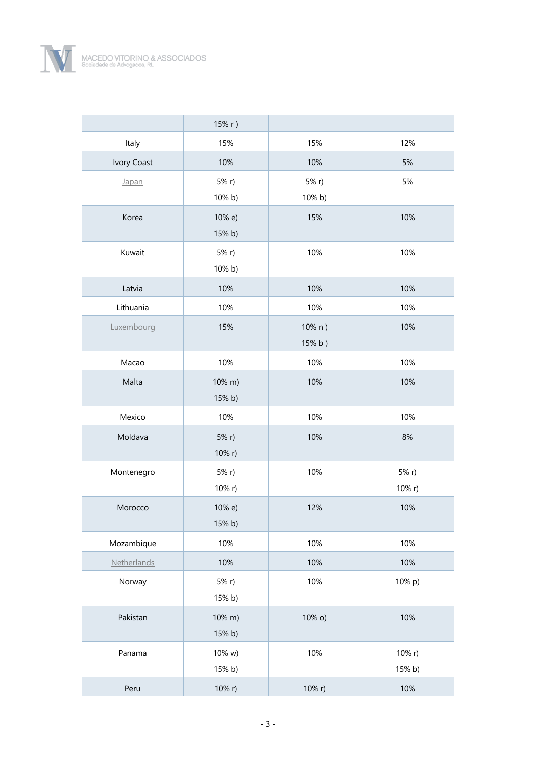

|             | 15% r)    |        |           |
|-------------|-----------|--------|-----------|
| Italy       | 15%       | 15%    | 12%       |
| Ivory Coast | 10%       | 10%    | 5%        |
| Japan       | $5% r$ )  | 5% r)  | 5%        |
|             | 10% b)    | 10% b) |           |
| Korea       | 10% e)    | 15%    | 10%       |
|             | 15% b)    |        |           |
| Kuwait      | 5% r      | 10%    | 10%       |
|             | 10% b)    |        |           |
| Latvia      | 10%       | 10%    | 10%       |
| Lithuania   | 10%       | 10%    | 10%       |
| Luxembourg  | 15%       | 10% n) | 10%       |
|             |           | 15% b) |           |
| Macao       | 10%       | 10%    | 10%       |
| Malta       | 10% m)    | 10%    | 10%       |
|             | 15% b)    |        |           |
|             |           |        |           |
| Mexico      | 10%       | 10%    | 10%       |
| Moldava     | 5% r      | 10%    | $8%$      |
|             | 10% r)    |        |           |
| Montenegro  | 5% r      | 10%    | 5% r      |
|             | 10% r)    |        | $10\%$ r) |
| Morocco     | 10% e)    | 12%    | 10%       |
|             | 15% b)    |        |           |
| Mozambique  | 10%       | 10%    | 10%       |
| Netherlands | 10%       | 10%    | 10%       |
| Norway      | $5% r$ )  | 10%    | 10% p)    |
|             | 15% b)    |        |           |
| Pakistan    | $10\%$ m) | 10% o) | 10%       |
|             | 15% b)    |        |           |
| Panama      | 10% w)    | 10%    | 10% $r$ ) |
|             | 15% b)    |        | 15% b)    |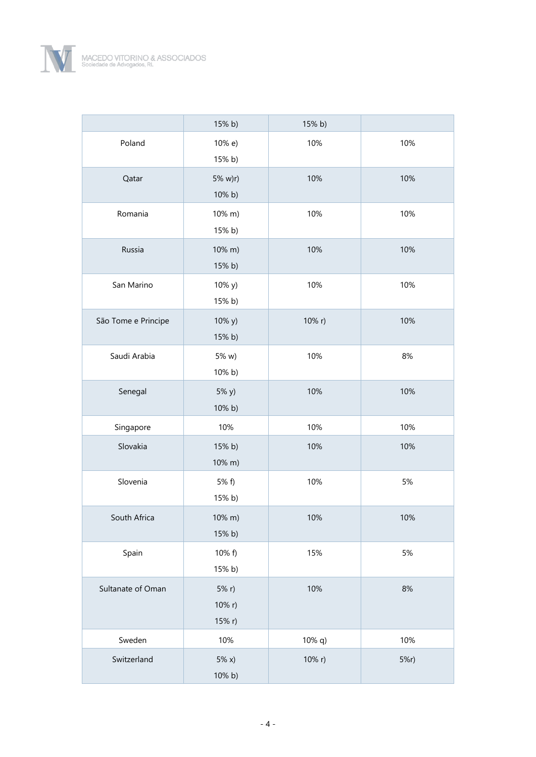

|                     | 15% b)                   | 15% b)    |      |
|---------------------|--------------------------|-----------|------|
| Poland              | 10% e)<br>15% b)         | 10%       | 10%  |
| Qatar               | 5% w)r)<br>10% b)        | 10%       | 10%  |
| Romania             | 10% m)<br>15% b)         | 10%       | 10%  |
| Russia              | 10% m)<br>15% b)         | 10%       | 10%  |
| San Marino          | 10% y)<br>15% b)         | 10%       | 10%  |
| São Tome e Principe | 10% y)<br>15% b)         | 10% r)    | 10%  |
| Saudi Arabia        | 5% w)<br>10% b)          | 10%       | 8%   |
| Senegal             | 5% y)<br>10% b)          | 10%       | 10%  |
| Singapore           | 10%                      | 10%       | 10%  |
| Slovakia            | 15% b)<br>10% m)         | 10%       | 10%  |
| Slovenia            | 5% f)<br>15% b)          | 10%       | 5%   |
| South Africa        | 10% m)<br>15% b)         | 10%       | 10%  |
| Spain               | 10% f)<br>15% b)         | 15%       | 5%   |
| Sultanate of Oman   | 5% r<br>10% r)<br>15% r) | 10%       | $8%$ |
| Sweden              | 10%                      | $10\%$ q) | 10%  |
| Switzerland         | 5% x)<br>10% b)          | 10% r)    | 5%r) |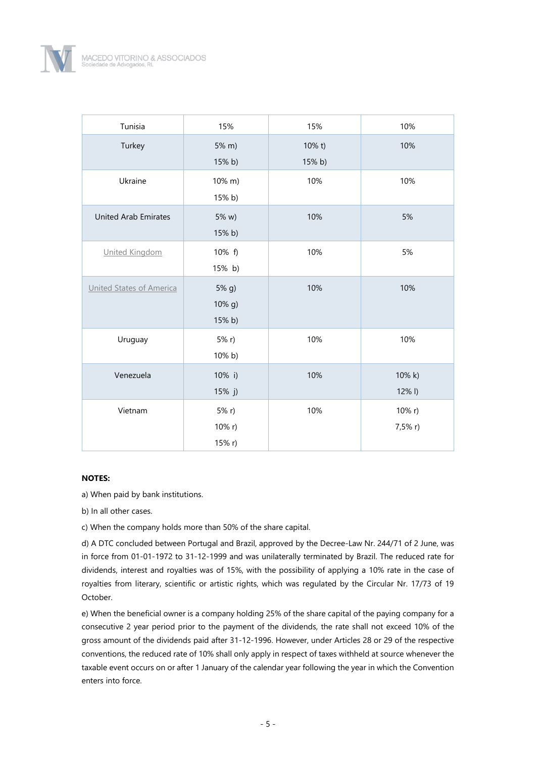

| Tunisia                     | 15%                         | 15%              | 10%                    |
|-----------------------------|-----------------------------|------------------|------------------------|
| Turkey                      | 5% m)<br>15% b)             | 10% t)<br>15% b) | 10%                    |
| Ukraine                     | 10% m)<br>15% b)            | 10%              | 10%                    |
| <b>United Arab Emirates</b> | 5% w)<br>15% b)             | 10%              | 5%                     |
| United Kingdom              | 10% f)<br>15% b)            | 10%              | 5%                     |
| United States of America    | $5%$ g)<br>10% g)<br>15% b) | 10%              | 10%                    |
| Uruguay                     | 5% r<br>10% b)              | 10%              | 10%                    |
| Venezuela                   | 10% i)<br>15% j)            | 10%              | $10\%$ k)<br>$12\%$ I) |
| Vietnam                     | 5% r<br>10% r)<br>15% r)    | 10%              | $10\%$ r)<br>7,5% r)   |

## **NOTES:**

a) When paid by bank institutions.

b) In all other cases.

c) When the company holds more than 50% of the share capital.

d) A DTC concluded between Portugal and Brazil, approved by the Decree-Law Nr. 244/71 of 2 June, was in force from 01-01-1972 to 31-12-1999 and was unilaterally terminated by Brazil. The reduced rate for dividends, interest and royalties was of 15%, with the possibility of applying a 10% rate in the case of royalties from literary, scientific or artistic rights, which was regulated by the Circular Nr. 17/73 of 19 October.

e) When the beneficial owner is a company holding 25% of the share capital of the paying company for a consecutive 2 year period prior to the payment of the dividends, the rate shall not exceed 10% of the gross amount of the dividends paid after 31-12-1996. However, under Articles 28 or 29 of the respective conventions, the reduced rate of 10% shall only apply in respect of taxes withheld at source whenever the taxable event occurs on or after 1 January of the calendar year following the year in which the Convention enters into force.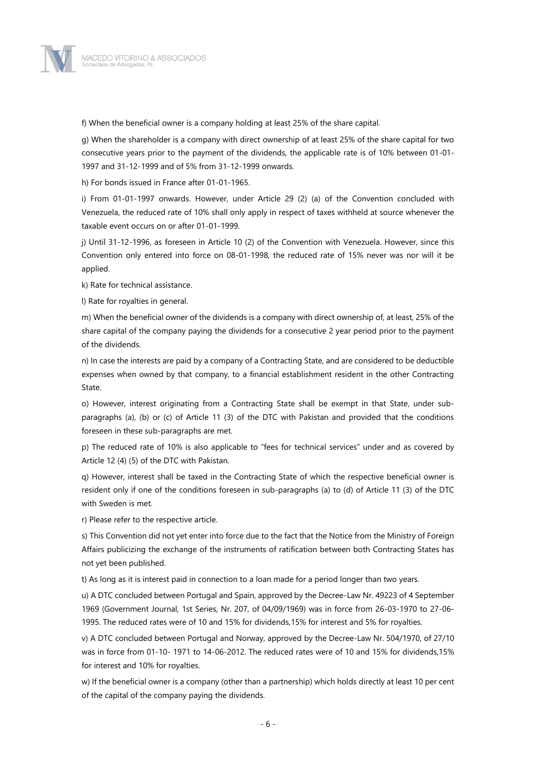

f) When the beneficial owner is a company holding at least 25% of the share capital.

g) When the shareholder is a company with direct ownership of at least 25% of the share capital for two consecutive years prior to the payment of the dividends, the applicable rate is of 10% between 01-01- 1997 and 31-12-1999 and of 5% from 31-12-1999 onwards.

h) For bonds issued in France after 01-01-1965.

i) From 01-01-1997 onwards. However, under Article 29 (2) (a) of the Convention concluded with Venezuela, the reduced rate of 10% shall only apply in respect of taxes withheld at source whenever the taxable event occurs on or after 01-01-1999.

j) Until 31-12-1996, as foreseen in Article 10 (2) of the Convention with Venezuela. However, since this Convention only entered into force on 08-01-1998, the reduced rate of 15% never was nor will it be applied.

k) Rate for technical assistance.

l) Rate for royalties in general.

m) When the beneficial owner of the dividends is a company with direct ownership of, at least, 25% of the share capital of the company paying the dividends for a consecutive 2 year period prior to the payment of the dividends.

n) In case the interests are paid by a company of a Contracting State, and are considered to be deductible expenses when owned by that company, to a financial establishment resident in the other Contracting State.

o) However, interest originating from a Contracting State shall be exempt in that State, under subparagraphs (a), (b) or (c) of Article 11 (3) of the DTC with Pakistan and provided that the conditions foreseen in these sub-paragraphs are met.

p) The reduced rate of 10% is also applicable to "fees for technical services" under and as covered by Article 12 (4) (5) of the DTC with Pakistan.

q) However, interest shall be taxed in the Contracting State of which the respective beneficial owner is resident only if one of the conditions foreseen in sub-paragraphs (a) to (d) of Article 11 (3) of the DTC with Sweden is met.

r) Please refer to the respective article.

s) This Convention did not yet enter into force due to the fact that the Notice from the Ministry of Foreign Affairs publicizing the exchange of the instruments of ratification between both Contracting States has not yet been published.

t) As long as it is interest paid in connection to a loan made for a period longer than two years.

u) A DTC concluded between Portugal and Spain, approved by the Decree-Law Nr. 49223 of 4 September 1969 (Government Journal, 1st Series, Nr. 207, of 04/09/1969) was in force from 26-03-1970 to 27-06- 1995. The reduced rates were of 10 and 15% for dividends,15% for interest and 5% for royalties.

v) A DTC concluded between Portugal and Norway, approved by the Decree-Law Nr. 504/1970, of 27/10 was in force from 01-10- 1971 to 14-06-2012. The reduced rates were of 10 and 15% for dividends,15% for interest and 10% for royalties.

w) If the beneficial owner is a company (other than a partnership) which holds directly at least 10 per cent of the capital of the company paying the dividends.